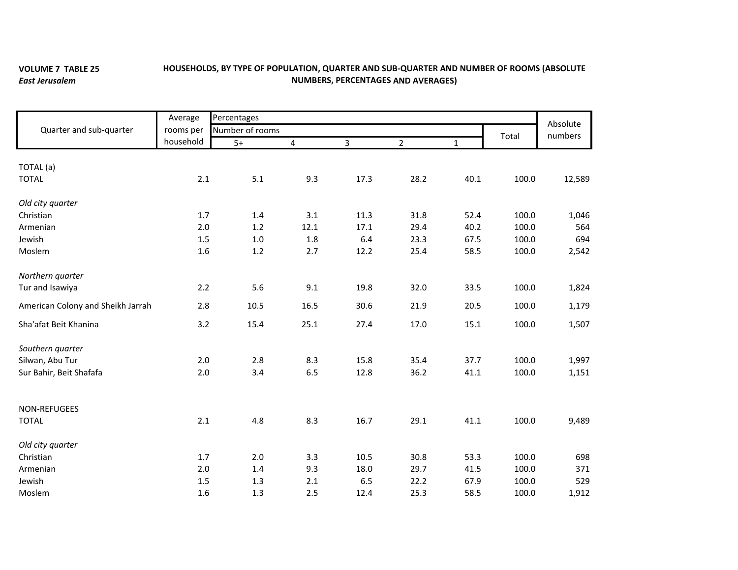## **VOLUME 7 TABLE 25** *East Jerusalem*

## **HOUSEHOLDS, BY TYPE OF POPULATION, QUARTER AND SUB‐QUARTER AND NUMBER OF ROOMS (ABSOLUTE NUMBERS, PERCENTAGES AND AVERAGES)**

|                                   | Percentages<br>Average       |         |                         |      |                |             |       | Absolute |
|-----------------------------------|------------------------------|---------|-------------------------|------|----------------|-------------|-------|----------|
| Quarter and sub-quarter           | rooms per<br>Number of rooms |         |                         |      |                |             | Total | numbers  |
|                                   | household                    | $5+$    | $\overline{\mathbf{4}}$ | 3    | $\overline{2}$ | $\mathbf 1$ |       |          |
| TOTAL (a)                         |                              |         |                         |      |                |             |       |          |
|                                   |                              | 5.1     |                         |      |                |             |       |          |
| <b>TOTAL</b>                      | 2.1                          |         | 9.3                     | 17.3 | 28.2           | 40.1        | 100.0 | 12,589   |
| Old city quarter                  |                              |         |                         |      |                |             |       |          |
| Christian                         | 1.7                          | 1.4     | 3.1                     | 11.3 | 31.8           | 52.4        | 100.0 | 1,046    |
| Armenian                          | 2.0                          | $1.2$   | 12.1                    | 17.1 | 29.4           | 40.2        | 100.0 | 564      |
| Jewish                            | 1.5                          | $1.0\,$ | 1.8                     | 6.4  | 23.3           | 67.5        | 100.0 | 694      |
| Moslem                            | 1.6                          | $1.2$   | 2.7                     | 12.2 | 25.4           | 58.5        | 100.0 | 2,542    |
| Northern quarter                  |                              |         |                         |      |                |             |       |          |
| Tur and Isawiya                   | 2.2                          | 5.6     | 9.1                     | 19.8 | 32.0           | 33.5        | 100.0 | 1,824    |
| American Colony and Sheikh Jarrah | 2.8                          | 10.5    | 16.5                    | 30.6 | 21.9           | 20.5        | 100.0 | 1,179    |
| Sha'afat Beit Khanina             | 3.2                          | 15.4    | 25.1                    | 27.4 | 17.0           | 15.1        | 100.0 | 1,507    |
| Southern quarter                  |                              |         |                         |      |                |             |       |          |
| Silwan, Abu Tur                   | 2.0                          | 2.8     | 8.3                     | 15.8 | 35.4           | 37.7        | 100.0 | 1,997    |
| Sur Bahir, Beit Shafafa           | 2.0                          | 3.4     | 6.5                     | 12.8 | 36.2           | 41.1        | 100.0 | 1,151    |
| NON-REFUGEES                      |                              |         |                         |      |                |             |       |          |
| <b>TOTAL</b>                      | 2.1                          | 4.8     | 8.3                     | 16.7 | 29.1           | 41.1        | 100.0 | 9,489    |
| Old city quarter                  |                              |         |                         |      |                |             |       |          |
| Christian                         | 1.7                          | 2.0     | 3.3                     | 10.5 | 30.8           | 53.3        | 100.0 | 698      |
| Armenian                          | 2.0                          | 1.4     | 9.3                     | 18.0 | 29.7           | 41.5        | 100.0 | 371      |
| Jewish                            | 1.5                          | 1.3     | 2.1                     | 6.5  | 22.2           | 67.9        | 100.0 | 529      |
| Moslem                            | 1.6                          | 1.3     | 2.5                     | 12.4 | 25.3           | 58.5        | 100.0 | 1,912    |